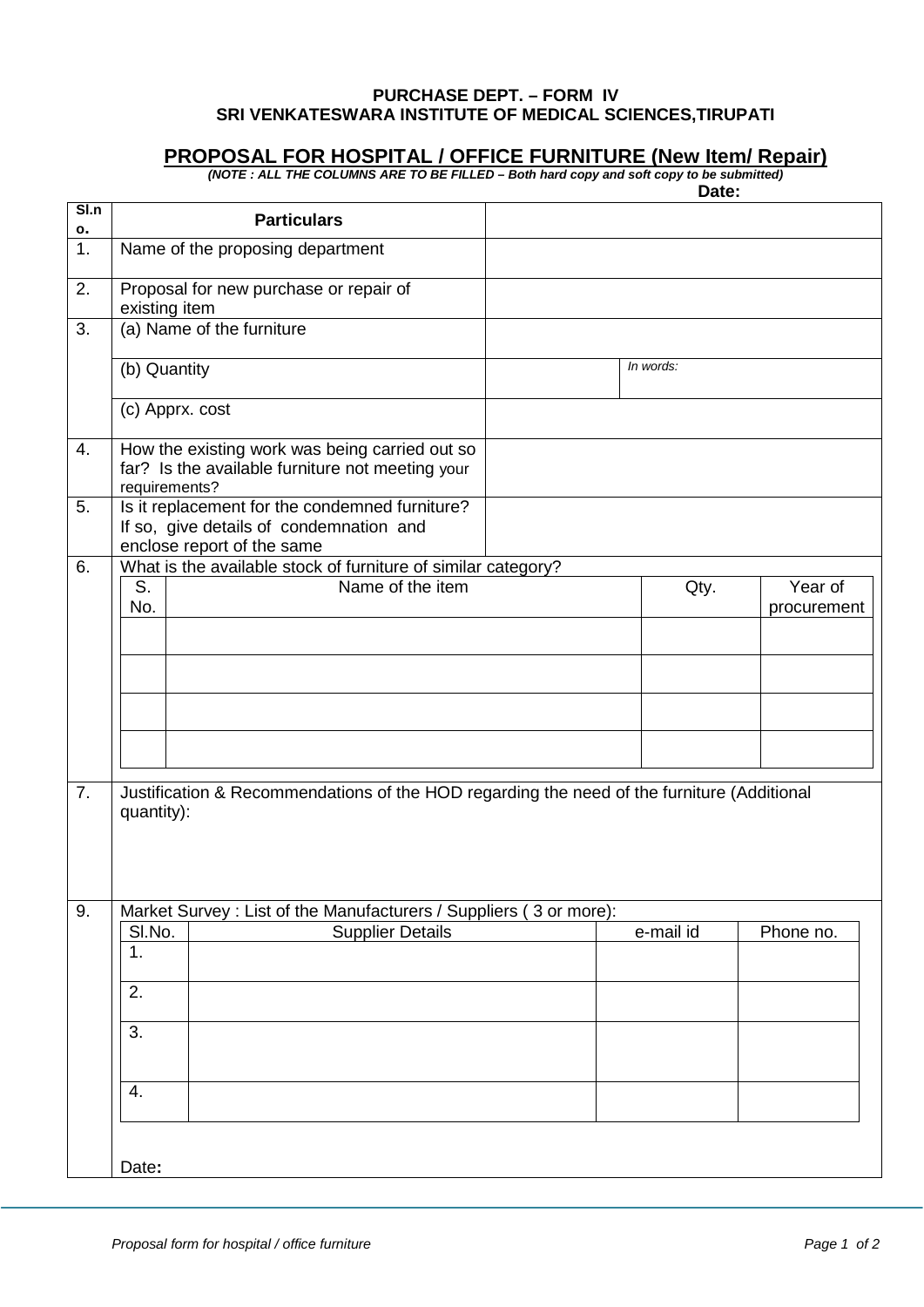## **PURCHASE DEPT. – FORM IV SRI VENKATESWARA INSTITUTE OF MEDICAL SCIENCES,TIRUPATI**

## **PROPOSAL FOR HOSPITAL / OFFICE FURNITURE (New Item/ Repair)**

*(NOTE : ALL THE COLUMNS ARE TO BE FILLED – Both hard copy and soft copy to be submitted)*

|                       |                                                                                                                         |  | Date:     |             |
|-----------------------|-------------------------------------------------------------------------------------------------------------------------|--|-----------|-------------|
| S <sub>ln</sub><br>ο. | <b>Particulars</b>                                                                                                      |  |           |             |
| 1.                    | Name of the proposing department                                                                                        |  |           |             |
| 2.                    | Proposal for new purchase or repair of<br>existing item                                                                 |  |           |             |
| 3.                    | (a) Name of the furniture                                                                                               |  |           |             |
|                       | (b) Quantity                                                                                                            |  | In words: |             |
|                       | (c) Apprx. cost                                                                                                         |  |           |             |
| 4.                    | How the existing work was being carried out so<br>far? Is the available furniture not meeting your<br>requirements?     |  |           |             |
| 5.                    | Is it replacement for the condemned furniture?<br>If so, give details of condemnation and<br>enclose report of the same |  |           |             |
| 6.                    | What is the available stock of furniture of similar category?                                                           |  |           |             |
|                       | Name of the item<br>S.                                                                                                  |  | Qty.      | Year of     |
|                       | No.                                                                                                                     |  |           | procurement |
|                       |                                                                                                                         |  |           |             |
|                       |                                                                                                                         |  |           |             |
|                       |                                                                                                                         |  |           |             |
|                       |                                                                                                                         |  |           |             |
| 7.                    | Justification & Recommendations of the HOD regarding the need of the furniture (Additional<br>quantity):                |  |           |             |
| 9.                    | Market Survey : List of the Manufacturers / Suppliers (3 or more):                                                      |  |           |             |
|                       | <b>Supplier Details</b><br>SI.No.                                                                                       |  | e-mail id | Phone no.   |
|                       | 1.                                                                                                                      |  |           |             |
|                       | 2.                                                                                                                      |  |           |             |
|                       | 3.                                                                                                                      |  |           |             |
|                       | 4.                                                                                                                      |  |           |             |
|                       | Date:                                                                                                                   |  |           |             |